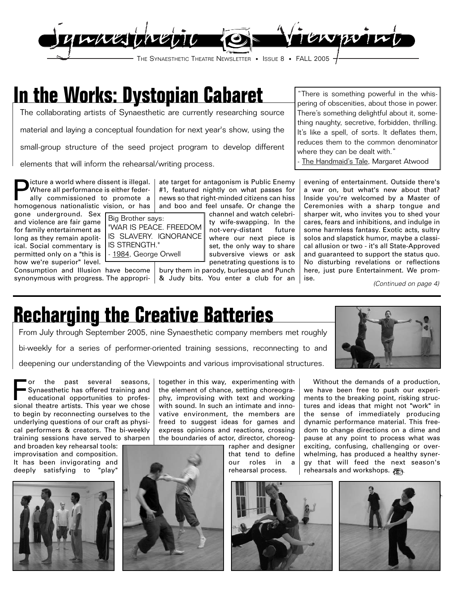

### **In the Works: Dystopian Cabaret**

The collaborating artists of Synaesthetic are currently researching source

material and laying a conceptual foundation for next year's show, using the

small-group structure of the seed project program to develop different

elements that will inform the rehearsal/writing process.

Picture a world where dissent is illegal.<br>Where all performance is either federally<br>ally commissioned to promote a<br>homogenous pationalistic vision or base Where all performance is either federally commissioned to promote a homogenous nationalistic vision, or has

gone underground. Sex and violence are fair game for family entertainment as long as they remain apolitical. Social commentary is IS STRENGTH." permitted only on a "this is how we're superior" level. Consumption and Illusion have become

#1, featured nightly on what passes for news so that right-minded citizens can hiss and boo and feel unsafe. Or change the channel and watch celebri-Big Brother says:

ate target for antagonism is Public Enemy

ty wife-swapping. In the not-very-distant future where our next piece is set, the only way to share subversive views or ask penetrating questions is to "WAR IS PEACE. FREEDOM IS SLAVERY. IGNORANCE - 1984, George Orwell

synonymous with progress. The appropri-& Judy bits. You enter a club for an bury them in parody, burlesque and Punch

"There is something powerful in the whispering of obscenities, about those in power. There's something delightful about it, something naughty, secretive, forbidden, thrilling. It's like a spell, of sorts. It deflates them, reduces them to the common denominator where they can be dealt with."

The Handmaid's Tale, Margaret Atwood

evening of entertainment. Outside there's a war on, but what's new about that? Inside you're welcomed by a Master of Ceremonies with a sharp tongue and sharper wit, who invites you to shed your cares, fears and inhibitions, and indulge in some harmless fantasy. Exotic acts, sultry solos and slapstick humor, maybe a classical allusion or two - it's all State-Approved and guaranteed to support the status quo. No disturbing revelations or reflections here, just pure Entertainment. We promise.

(Continued on page 4)

### **Recharging the Creative Batteries**

From July through September 2005, nine Synaesthetic company members met roughly bi-weekly for a series of performer-oriented training sessions, reconnecting to and deepening our understanding of the Viewpoints and various improvisational structures.

For the past several seasons,<br>Synaesthetic has offered training and<br>educational opportunities to profes-<br>sional theatre artists. This was we choose Synaesthetic has offered training and educational opportunities to professional theatre artists. This year we chose to begin by reconnecting ourselves to the underlying questions of our craft as physical performers & creators. The bi-weekly training sessions have served to sharpen

and broaden key rehearsal tools: improvisation and composition. It has been invigorating and deeply satisfying to "play"





together in this way, experimenting with the element of chance, setting choreography, improvising with text and working with sound. In such an intimate and innovative environment, the members are freed to suggest ideas for games and express opinions and reactions, crossing the boundaries of actor, director, choreog-

rapher and designer that tend to define our roles in a rehearsal process.





Without the demands of a production, we have been free to push our experiments to the breaking point, risking structures and ideas that might not "work" in the sense of immediately producing dynamic performance material. This freedom to change directions on a dime and pause at any point to process what was exciting, confusing, challenging or overwhelming, has produced a healthy synergy that will feed the next season's rehearsals and workshops.

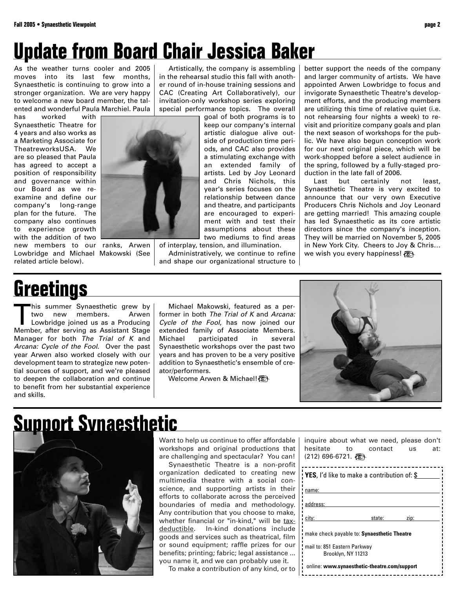### **Update from Board Chair Jessica Baker**

As the weather turns cooler and 2005 moves into its last few months, Synaesthetic is continuing to grow into a stronger organization. We are very happy to welcome a new board member, the talented and wonderful Paula Marchiel. Paula

has worked with Synaesthetic Theatre for 4 years and also works as a Marketing Associate for TheatreworksUSA. We are so pleased that Paula has agreed to accept a position of responsibility and governance within our Board as we reexamine and define our company's long-range plan for the future. The company also continues to experience growth with the addition of two new members to our ranks, Arwen Lowbridge and Michael Makowski (See related article below).



Artistically, the company is assembling in the rehearsal studio this fall with another round of in-house training sessions and CAC (Creating Art Collaboratively), our invitation-only workshop series exploring special performance topics. The overall

> goal of both programs is to keep our company's internal artistic dialogue alive outside of production time periods, and CAC also provides a stimulating exchange with an extended family of artists. Led by Joy Leonard and Chris Nichols, this year's series focuses on the relationship between dance and theatre, and participants are encouraged to experiment with and test their assumptions about these two mediums to find areas

of interplay, tension, and illumination. Administratively, we continue to refine and shape our organizational structure to better support the needs of the company and larger community of artists. We have appointed Arwen Lowbridge to focus and invigorate Synaesthetic Theatre's development efforts, and the producing members are utilizing this time of relative quiet (i.e. not rehearsing four nights a week) to revisit and prioritize company goals and plan the next season of workshops for the public. We have also begun conception work for our next original piece, which will be work-shopped before a select audience in the spring, followed by a fully-staged production in the late fall of 2006.

Last but certainly not least, Synaesthetic Theatre is very excited to announce that our very own Executive Producers Chris Nichols and Joy Leonard are getting married! This amazing couple has led Synaesthetic as its core artistic directors since the company's inception. They will be married on November 5, 2005 in New York City. Cheers to Joy & Chris… we wish you every happiness!

### **Greetings**

This summer Synaesthetic grew by members. Lowbridge joined us as a Producing Member, after serving as Assistant Stage Manager for both The Trial of K and Arcana: Cycle of the Fool. Over the past year Arwen also worked closely with our development team to strategize new potential sources of support, and we're pleased to deepen the collaboration and continue to benefit from her substantial experience and skills.

Michael Makowski, featured as a performer in both The Trial of K and Arcana: Cycle of the Fool, has now joined our extended family of Associate Members. Michael participated in several Synaesthetic workshops over the past two years and has proven to be a very positive addition to Synaesthetic's ensemble of creator/performers.

Welcome Arwen & Michael!



### **Support Synaesthetic**



Want to help us continue to offer affordable workshops and original productions that are challenging and spectacular? You can!

Synaesthetic Theatre is a non-profit organization dedicated to creating new multimedia theatre with a social conscience, and supporting artists in their efforts to collaborate across the perceived boundaries of media and methodology. Any contribution that you choose to make, whether financial or "in-kind," will be taxdeductible. In-kind donations include goods and services such as theatrical, film or sound equipment; raffle prizes for our benefits; printing; fabric; legal assistance ... you name it, and we can probably use it.

To make a contribution of any kind, or to

| inquire about what we need, please don't<br>hesitate to contact<br><b>us</b><br>$(212)$ 696-6721. | at: |
|---------------------------------------------------------------------------------------------------|-----|
| <b>YES</b> , I'd like to make a contribution of: \$                                               |     |
| name:                                                                                             |     |
| address:                                                                                          |     |
| city:<br>state:<br>zip:                                                                           |     |
| make check payable to: Synaesthetic Theatre                                                       |     |
| mail to: 851 Eastern Parkway<br>Brooklyn, NY 11213                                                |     |
| online: www.synaesthetic-theatre.com/support                                                      |     |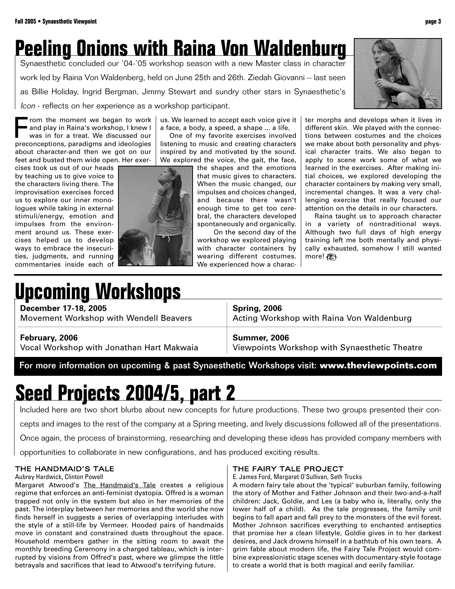## **Peeling Onions with Raina Von Waldenburg**

Synaesthetic concluded our '04-'05 workshop season with a new Master class in character work led by Raina Von Waldenberg, held on June 25th and 26th. Ziedah Giovanni -- last seen as Billie Holiday, Ingrid Bergman, Jimmy Stewart and sundry other stars in Synaesthetic's Icon - reflects on her experience as a workshop participant.

From the moment we began to work<br>and play in Raina's workshop, I knew I<br>was in for a treat. We discussed our<br>preconcentions paradigms and ideologies and play in Raina's workshop, I knew I was in for a treat. We discussed our preconceptions, paradigms and ideologies about character-and then we got on our feet and busted them wide open. Her exer-

cises took us out of our heads by teaching us to give voice to the characters living there. The improvisation exercises forced us to explore our inner monologues while taking in external stimuli/energy, emotion and impulses from the environment around us. These exercises helped us to develop ways to embrace the insecurities, judgments, and running commentaries inside each of



us. We learned to accept each voice give it a face, a body, a speed, a shape ... a life.

One of my favorite exercises involved listening to music and creating characters inspired by and motivated by the sound. We explored the voice, the gait, the face,

the shapes and the emotions that music gives to characters. When the music changed, our impulses and choices changed, and because there wasn't enough time to get too cerebral, the characters developed spontaneously and organically.

On the second day of the workshop we explored playing with character containers by wearing different costumes. We experienced how a character morphs and develops when it lives in different skin. We played with the connections between costumes and the choices we make about both personality and physical character traits. We also began to apply to scene work some of what we learned in the exercises. After making initial choices, we explored developing the character containers by making very small, incremental changes. It was a very challenging exercise that really focused our attention on the details in our characters.

Raina taught us to approach character in a variety of nontraditional ways. Although two full days of high energy training left me both mentally and physically exhausted, somehow I still wanted more!

# **Upcoming Workshops**

**December 17-18, 2005**

Movement Workshop with Wendell Beavers

#### **Spring, 2006**

Acting Workshop with Raina Von Waldenburg

#### **February, 2006**

Vocal Workshop with Jonathan Hart Makwaia

**Summer, 2006**

Viewpoints Workshop with Synaesthetic Theatre

For more information on upcoming & past Synaesthetic Workshops visit: **www.theviewpoints.com**

# **Seed Projects 2004/5, part 2**

Included here are two short blurbs about new concepts for future productions. These two groups presented their con-

cepts and images to the rest of the company at a Spring meeting, and lively discussions followed all of the presentations.

Once again, the process of brainstorming, researching and developing these ideas has provided company members with

opportunities to collaborate in new configurations, and has produced exciting results.

#### THE HANDMAID'S TALE

Aubrey Hardwick, Clinton Powell

Margaret Atwood's The Handmaid's Tale creates a religious regime that enforces an anti-feminist dystopia. Offred is a woman trapped not only in the system but also in her memories of the past. The interplay between her memories and the world she now finds herself in suggests a series of overlapping interludes with the style of a still-life by Vermeer. Hooded pairs of handmaids move in constant and constrained duets throughout the space. Household members gather in the sitting room to await the monthly breeding Ceremony in a charged tableau, which is interrupted by visions from Offred's past, where we glimpse the little betrayals and sacrifices that lead to Atwood's terrifying future.

#### THE FAIRY TALE PROJECT

E. James Ford, Margaret O'Sullivan, Seth Trucks

A modern fairy tale about the 'typical' suburban family, following the story of Mother and Father Johnson and their two-and-a-half children: Jack, Goldie, and Les (a baby who is, literally, only the lower half of a child). As the tale progresses, the family unit begins to fall apart and fall prey to the monsters of the evil forest. Mother Johnson sacrifices everything to enchanted antiseptics that promise her a clean lifestyle, Goldie gives in to her darkest desires, and Jack drowns himself in a bathtub of his own tears. A grim fable about modern life, the Fairy Tale Project would combine expressionistic stage scenes with documentary-style footage to create a world that is both magical and eerily familiar.